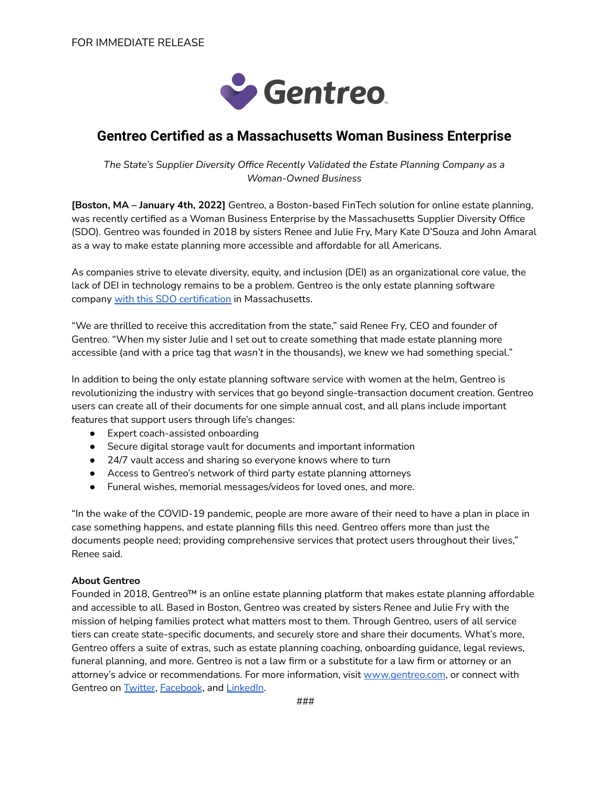

## **Gentreo Certified as a Massachusetts Woman Business Enterprise**

*The State's Supplier Diversity Office Recently Validated the Estate Planning Company as a Woman-Owned Business*

**[Boston, MA – January 4th, 2022]** Gentreo, a Boston-based FinTech solution for online estate planning, was recently certified as a Woman Business Enterprise by the Massachusetts Supplier Diversity Office (SDO). Gentreo was founded in 2018 by sisters Renee and Julie Fry, Mary Kate D'Souza and John Amaral as a way to make estate planning more accessible and affordable for all Americans.

As companies strive to elevate diversity, equity, and inclusion (DEI) as an organizational core value, the lack of DEI in technology remains to be a problem. Gentreo is the only estate planning software company with this SDO [certification](https://www.sdo.osd.state.ma.us/BusinessDirectory/BusinessDirectoryList.aspx?BusinessTypeID=1&CertTypeMBE=False&CertTypeWBE=True&CertTypePBE=False&CertTypeDBE=False&CertTypeACDBE=False&IndustryType=0&Keywords=estate+planning&ProductID=0&ProductNAICS=0&ProductNAICSCode=&SortedBy=Business_Name&SortedByName=Company+Name&SearchType=SOMWBA&CityOrTown=&RegionNumber=0&ZipCode=&CertTypeTPCB=False&CertTypeVBE=False) in Massachusetts.

"We are thrilled to receive this accreditation from the state," said Renee Fry, CEO and founder of Gentreo. "When my sister Julie and I set out to create something that made estate planning more accessible (and with a price tag that *wasn't* in the thousands), we knew we had something special."

In addition to being the only estate planning software service with women at the helm, Gentreo is revolutionizing the industry with services that go beyond single-transaction document creation. Gentreo users can create all of their documents for one simple annual cost, and all plans include important features that support users through life's changes:

- Expert coach-assisted onboarding
- Secure digital storage vault for documents and important information
- 24/7 vault access and sharing so everyone knows where to turn
- Access to Gentreo's network of third party estate planning attorneys
- Funeral wishes, memorial messages/videos for loved ones, and more.

"In the wake of the COVID-19 pandemic, people are more aware of their need to have a plan in place in case something happens, and estate planning fills this need. Gentreo offers more than just the documents people need; providing comprehensive services that protect users throughout their lives," Renee said.

## **About Gentreo**

Founded in 2018, Gentreo™ is an online estate planning platform that makes estate planning affordable and accessible to all. Based in Boston, Gentreo was created by sisters Renee and Julie Fry with the mission of helping families protect what matters most to them. Through Gentreo, users of all service tiers can create state-specific documents, and securely store and share their documents. What's more, Gentreo offers a suite of extras, such as estate planning coaching, onboarding guidance, legal reviews, funeral planning, and more. Gentreo is not a law firm or a substitute for a law firm or attorney or an attorney's advice or recommendations. For more information, visit [www.gentreo.com](http://www.gentreo.com), or connect with Gentreo on [Twitter](https://twitter.com/Gentreo), [Facebook](https://www.facebook.com/Gentreo/), and [LinkedIn](https://www.linkedin.com/company/gentreo).